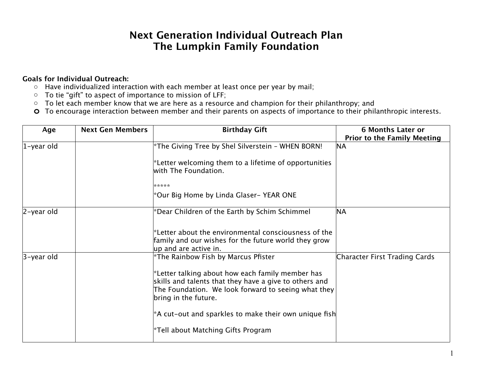## **Next Generation Individual Outreach Plan The Lumpkin Family Foundation**

## **Goals for Individual Outreach:**

- o Have individualized interaction with each member at least once per year by mail;
- o To tie "gift" to aspect of importance to mission of LFF;
- o To let each member know that we are here as a resource and champion for their philanthropy; and
- **o** To encourage interaction between member and their parents on aspects of importance to their philanthropic interests.

| Age        | <b>Next Gen Members</b> | <b>Birthday Gift</b>                                                                                                                                                                         | <b>6 Months Later or</b><br><b>Prior to the Family Meeting</b> |
|------------|-------------------------|----------------------------------------------------------------------------------------------------------------------------------------------------------------------------------------------|----------------------------------------------------------------|
| 1-year old |                         | *The Giving Tree by Shel Silverstein - WHEN BORN!                                                                                                                                            | <b>NA</b>                                                      |
|            |                         | $*$ Letter welcoming them to a lifetime of opportunities<br>with The Foundation.                                                                                                             |                                                                |
|            |                         | *****                                                                                                                                                                                        |                                                                |
|            |                         | *Our Big Home by Linda Glaser- YEAR ONE                                                                                                                                                      |                                                                |
| 2-year old |                         | *Dear Children of the Earth by Schim Schimmel                                                                                                                                                | NA                                                             |
|            |                         | $^*$ Letter about the environmental consciousness of the<br>family and our wishes for the future world they grow<br>up and are active in.                                                    |                                                                |
| 3-year old |                         | $^*$ The Rainbow Fish by Marcus Pfister                                                                                                                                                      | Character First Trading Cards                                  |
|            |                         | $*$ Letter talking about how each family member has<br>skills and talents that they have a give to others and<br>The Foundation. We look forward to seeing what they<br>bring in the future. |                                                                |
|            |                         | $^*$ A cut-out and sparkles to make their own unique fish $ $                                                                                                                                |                                                                |
|            |                         | Tell about Matching Gifts Program*                                                                                                                                                           |                                                                |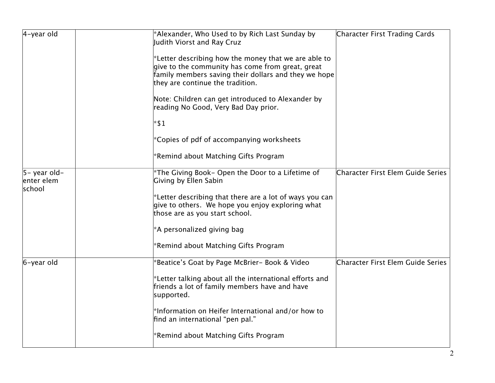| $4$ -year old                                  | *Alexander, Who Used to by Rich Last Sunday by<br>Judith Viorst and Ray Cruz                                                                                                                         | Character First Trading Cards     |
|------------------------------------------------|------------------------------------------------------------------------------------------------------------------------------------------------------------------------------------------------------|-----------------------------------|
|                                                | *Letter describing how the money that we are able to<br>give to the community has come from great, great<br>family members saving their dollars and they we hope<br>they are continue the tradition. |                                   |
|                                                | Note: Children can get introduced to Alexander by<br>reading No Good, Very Bad Day prior.                                                                                                            |                                   |
|                                                | $*$ \$1                                                                                                                                                                                              |                                   |
|                                                | *Copies of pdf of accompanying worksheets                                                                                                                                                            |                                   |
|                                                | *Remind about Matching Gifts Program                                                                                                                                                                 |                                   |
| $ 5 - \gamma$ ear old-<br>enter elem<br>school | *The Giving Book- Open the Door to a Lifetime of<br>Giving by Ellen Sabin                                                                                                                            | Character First Elem Guide Series |
|                                                | *Letter describing that there are a lot of ways you can<br>give to others. We hope you enjoy exploring what<br>those are as you start school.                                                        |                                   |
|                                                | *A personalized giving bag                                                                                                                                                                           |                                   |
|                                                | *Remind about Matching Gifts Program                                                                                                                                                                 |                                   |
| 6-year old                                     | Beatice's Goat by Page McBrier- Book & Video*                                                                                                                                                        | Character First Elem Guide Series |
|                                                | *Letter talking about all the international efforts and<br>friends a lot of family members have and have<br>supported.                                                                               |                                   |
|                                                | $^*$ Information on Heifer International and/or how to<br>find an international "pen pal."                                                                                                           |                                   |
|                                                | *Remind about Matching Gifts Program                                                                                                                                                                 |                                   |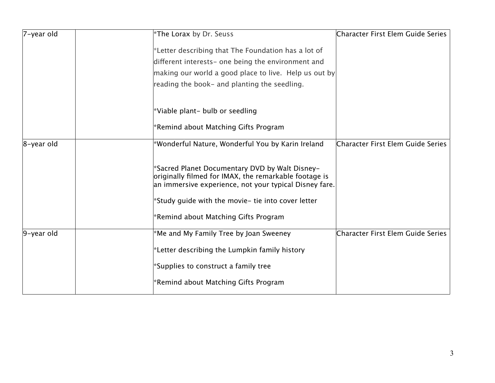| 7-year old    | *The Lorax by Dr. Seuss                                                                                                                                           | Character First Elem Guide Series |
|---------------|-------------------------------------------------------------------------------------------------------------------------------------------------------------------|-----------------------------------|
|               | *Letter describing that The Foundation has a lot of                                                                                                               |                                   |
|               | different interests- one being the environment and                                                                                                                |                                   |
|               | making our world a good place to live. Help us out by                                                                                                             |                                   |
|               | reading the book- and planting the seedling.                                                                                                                      |                                   |
|               | *Viable plant- bulb or seedling                                                                                                                                   |                                   |
|               | *Remind about Matching Gifts Program                                                                                                                              |                                   |
| $8$ -year old | *Wonderful Nature, Wonderful You by Karin Ireland                                                                                                                 | Character First Elem Guide Series |
|               | *Sacred Planet Documentary DVD by Walt Disney-<br>originally filmed for IMAX, the remarkable footage is<br>an immersive experience, not your typical Disney fare. |                                   |
|               | $*$ Study guide with the movie- tie into cover letter                                                                                                             |                                   |
|               | *Remind about Matching Gifts Program                                                                                                                              |                                   |
| 9-year old    | *Me and My Family Tree by Joan Sweeney                                                                                                                            | Character First Elem Guide Series |
|               | $*$ Letter describing the Lumpkin family history                                                                                                                  |                                   |
|               | $^*$ Supplies to construct a family tree                                                                                                                          |                                   |
|               | *Remind about Matching Gifts Program                                                                                                                              |                                   |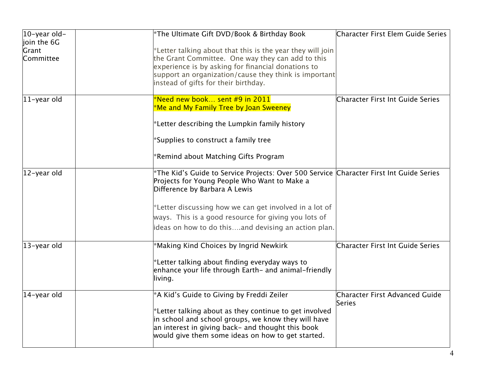| $ 10 - \gamma$ ear old-           | *The Ultimate Gift DVD/Book & Birthday Book                                                                                                                                                                                                                            | Character First Elem Guide Series |
|-----------------------------------|------------------------------------------------------------------------------------------------------------------------------------------------------------------------------------------------------------------------------------------------------------------------|-----------------------------------|
| join the 6G<br>Grant<br>Committee | *Letter talking about that this is the year they will join<br>the Grant Committee. One way they can add to this<br>experience is by asking for financial donations to<br>support an organization/cause they think is important<br>instead of gifts for their birthday. |                                   |
| $ 11$ -year old                   | $^{\ast}$ Need new book sent #9 in 2011 $^{\ast}$<br>Me and My Family Tree by Joan Sweeney*<br>$^*$ Letter describing the Lumpkin family history                                                                                                                       | Character First Int Guide Series  |
|                                   | *Supplies to construct a family tree<br>*Remind about Matching Gifts Program                                                                                                                                                                                           |                                   |
|                                   |                                                                                                                                                                                                                                                                        |                                   |
| 12-year old                       | *The Kid's Guide to Service Projects: Over 500 Service Character First Int Guide Series<br>Projects for Young People Who Want to Make a<br>Difference by Barbara A Lewis                                                                                               |                                   |
|                                   | *Letter discussing how we can get involved in a lot of                                                                                                                                                                                                                 |                                   |
|                                   | ways. This is a good resource for giving you lots of                                                                                                                                                                                                                   |                                   |
|                                   | ideas on how to do thisand devising an action plan.                                                                                                                                                                                                                    |                                   |
| 13-year old                       | *Making Kind Choices by Ingrid Newkirk                                                                                                                                                                                                                                 | Character First Int Guide Series  |
|                                   | $^*$ Letter talking about finding everyday ways to<br>enhance your life through Earth- and animal-friendly<br>living.                                                                                                                                                  |                                   |
| 14-year old                       | *A Kid's Guide to Giving by Freddi Zeiler                                                                                                                                                                                                                              | Character First Advanced Guide    |
|                                   | *Letter talking about as they continue to get involved<br>in school and school groups, we know they will have<br>an interest in giving back- and thought this book<br>would give them some ideas on how to get started.                                                | Series                            |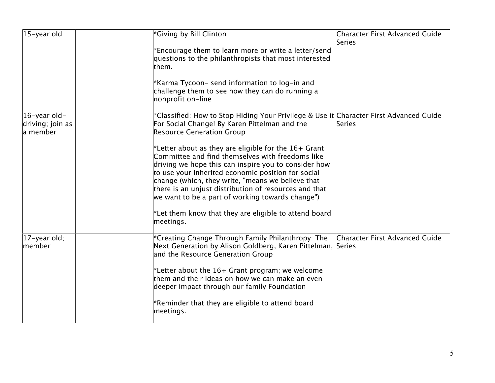| $ 15 - \gamma$ ear old                                  | *Giving by Bill Clinton                                                                                                                                                                                                                                                                                                                                                                                                                             | Character First Advanced Guide<br>Series |
|---------------------------------------------------------|-----------------------------------------------------------------------------------------------------------------------------------------------------------------------------------------------------------------------------------------------------------------------------------------------------------------------------------------------------------------------------------------------------------------------------------------------------|------------------------------------------|
|                                                         | *Encourage them to learn more or write a letter/send<br>questions to the philanthropists that most interested<br>them.                                                                                                                                                                                                                                                                                                                              |                                          |
|                                                         | *Karma Tycoon- send information to log-in and<br>challenge them to see how they can do running a<br>nonprofit on-line                                                                                                                                                                                                                                                                                                                               |                                          |
| $ 16 - \gamma$ ear old-<br>driving; join as<br>a member | *Classified: How to Stop Hiding Your Privilege & Use it Character First Advanced Guide<br>For Social Change! By Karen Pittelman and the<br><b>Resource Generation Group</b>                                                                                                                                                                                                                                                                         | Series                                   |
|                                                         | *Letter about as they are eligible for the $16+$ Grant<br>Committee and find themselves with freedoms like<br>driving we hope this can inspire you to consider how<br>to use your inherited economic position for social<br>change (which, they write, "means we believe that<br>there is an unjust distribution of resources and that<br>we want to be a part of working towards change")<br>*Let them know that they are eligible to attend board |                                          |
|                                                         | meetings.                                                                                                                                                                                                                                                                                                                                                                                                                                           |                                          |
| 17-year old;<br>member                                  | *Creating Change Through Family Philanthropy: The<br>Next Generation by Alison Goldberg, Karen Pittelman, Series<br>and the Resource Generation Group                                                                                                                                                                                                                                                                                               | Character First Advanced Guide           |
|                                                         | *Letter about the $16+$ Grant program; we welcome<br>them and their ideas on how we can make an even<br>deeper impact through our family Foundation                                                                                                                                                                                                                                                                                                 |                                          |
|                                                         | *Reminder that they are eligible to attend board<br>meetings.                                                                                                                                                                                                                                                                                                                                                                                       |                                          |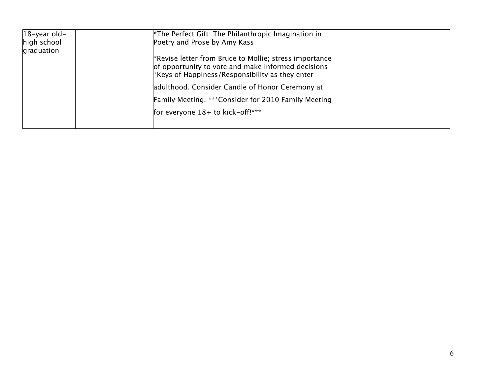| $ 18 - \gamma$ ear old- | $*$ The Perfect Gift: The Philanthropic Imagination in                                                                                                                         |  |
|-------------------------|--------------------------------------------------------------------------------------------------------------------------------------------------------------------------------|--|
| high school             | Poetry and Prose by Amy Kass                                                                                                                                                   |  |
| graduation              |                                                                                                                                                                                |  |
|                         | <sup>*</sup> Revise letter from Bruce to Mollie; stress importance<br>of opportunity to vote and make informed decisions<br>$*$ Keys of Happiness/Responsibility as they enter |  |
|                         | adulthood. Consider Candle of Honor Ceremony at                                                                                                                                |  |
|                         | <b>Family Meeting. ***Consider for 2010 Family Meeting</b>                                                                                                                     |  |
|                         | for everyone $18+$ to kick-off!***                                                                                                                                             |  |
|                         |                                                                                                                                                                                |  |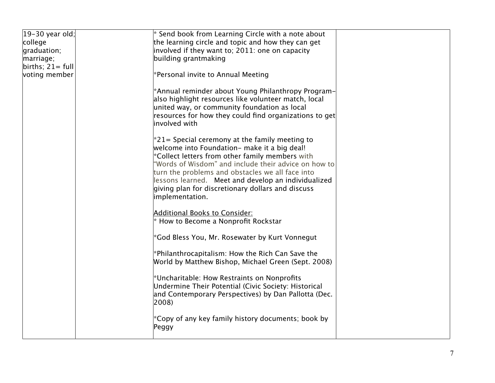| $ 19-30$ year old;          | $*$ Send book from Learning Circle with a note about                                                                                                                                                                                                                                                                                                                                            |  |
|-----------------------------|-------------------------------------------------------------------------------------------------------------------------------------------------------------------------------------------------------------------------------------------------------------------------------------------------------------------------------------------------------------------------------------------------|--|
| college                     | the learning circle and topic and how they can get                                                                                                                                                                                                                                                                                                                                              |  |
| graduation;                 | involved if they want to; 2011: one on capacity                                                                                                                                                                                                                                                                                                                                                 |  |
| marriage;                   | building grantmaking                                                                                                                                                                                                                                                                                                                                                                            |  |
| $\text{births}$ ; 21 = full |                                                                                                                                                                                                                                                                                                                                                                                                 |  |
| voting member               | $*$ Personal invite to Annual Meeting                                                                                                                                                                                                                                                                                                                                                           |  |
|                             | *Annual reminder about Young Philanthropy Program-<br>also highlight resources like volunteer match, local<br>united way, or community foundation as local<br>resources for how they could find organizations to get<br>involved with                                                                                                                                                           |  |
|                             | $*$ 21= Special ceremony at the family meeting to<br>Welcome into Foundation- make it a big deal!<br>*Collect letters from other family members with<br>"Words of Wisdom" and include their advice on how to<br>turn the problems and obstacles we all face into<br>lessons learned. Meet and develop an individualized<br>giving plan for discretionary dollars and discuss<br>implementation. |  |
|                             | <b>Additional Books to Consider:</b><br>* How to Become a Nonprofit Rockstar                                                                                                                                                                                                                                                                                                                    |  |
|                             | *God Bless You, Mr. Rosewater by Kurt Vonnegut                                                                                                                                                                                                                                                                                                                                                  |  |
|                             | $*$ Philanthrocapitalism: How the Rich Can Save the<br>World by Matthew Bishop, Michael Green (Sept. 2008)                                                                                                                                                                                                                                                                                      |  |
|                             | *Uncharitable: How Restraints on Nonprofits<br>Undermine Their Potential (Civic Society: Historical<br>and Contemporary Perspectives) by Dan Pallotta (Dec.<br>2008)                                                                                                                                                                                                                            |  |
|                             | $^*$ Copy of any key family history documents; book by<br>Peggy                                                                                                                                                                                                                                                                                                                                 |  |